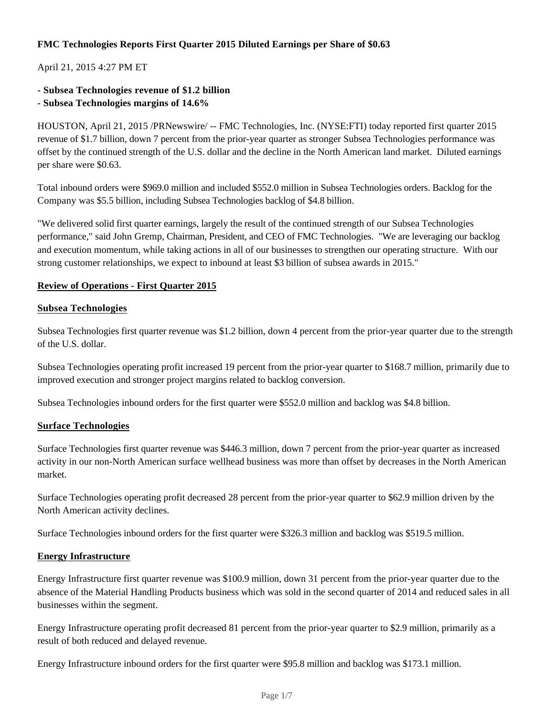## **FMC Technologies Reports First Quarter 2015 Diluted Earnings per Share of \$0.63**

## April 21, 2015 4:27 PM ET

**- Subsea Technologies revenue of \$1.2 billion**

### **- Subsea Technologies margins of 14.6%**

HOUSTON, April 21, 2015 /PRNewswire/ -- FMC Technologies, Inc. (NYSE:FTI) today reported first quarter 2015 revenue of \$1.7 billion, down 7 percent from the prior-year quarter as stronger Subsea Technologies performance was offset by the continued strength of the U.S. dollar and the decline in the North American land market. Diluted earnings per share were \$0.63.

Total inbound orders were \$969.0 million and included \$552.0 million in Subsea Technologies orders. Backlog for the Company was \$5.5 billion, including Subsea Technologies backlog of \$4.8 billion.

"We delivered solid first quarter earnings, largely the result of the continued strength of our Subsea Technologies performance," said John Gremp, Chairman, President, and CEO of FMC Technologies. "We are leveraging our backlog and execution momentum, while taking actions in all of our businesses to strengthen our operating structure. With our strong customer relationships, we expect to inbound at least \$3 billion of subsea awards in 2015."

#### **Review of Operations - First Quarter 2015**

#### **Subsea Technologies**

Subsea Technologies first quarter revenue was \$1.2 billion, down 4 percent from the prior-year quarter due to the strength of the U.S. dollar.

Subsea Technologies operating profit increased 19 percent from the prior-year quarter to \$168.7 million, primarily due to improved execution and stronger project margins related to backlog conversion.

Subsea Technologies inbound orders for the first quarter were \$552.0 million and backlog was \$4.8 billion.

#### **Surface Technologies**

Surface Technologies first quarter revenue was \$446.3 million, down 7 percent from the prior-year quarter as increased activity in our non-North American surface wellhead business was more than offset by decreases in the North American market.

Surface Technologies operating profit decreased 28 percent from the prior-year quarter to \$62.9 million driven by the North American activity declines.

Surface Technologies inbound orders for the first quarter were \$326.3 million and backlog was \$519.5 million.

#### **Energy Infrastructure**

Energy Infrastructure first quarter revenue was \$100.9 million, down 31 percent from the prior-year quarter due to the absence of the Material Handling Products business which was sold in the second quarter of 2014 and reduced sales in all businesses within the segment.

Energy Infrastructure operating profit decreased 81 percent from the prior-year quarter to \$2.9 million, primarily as a result of both reduced and delayed revenue.

Energy Infrastructure inbound orders for the first quarter were \$95.8 million and backlog was \$173.1 million.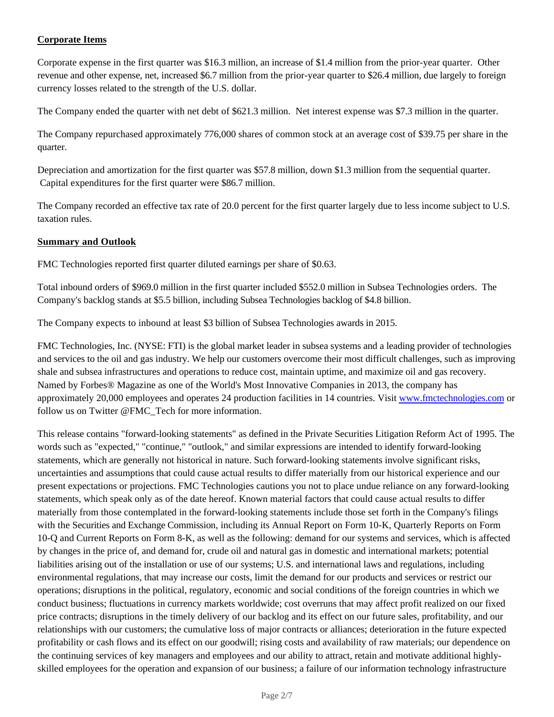## **Corporate Items**

Corporate expense in the first quarter was \$16.3 million, an increase of \$1.4 million from the prior-year quarter. Other revenue and other expense, net, increased \$6.7 million from the prior-year quarter to \$26.4 million, due largely to foreign currency losses related to the strength of the U.S. dollar.

The Company ended the quarter with net debt of \$621.3 million. Net interest expense was \$7.3 million in the quarter.

The Company repurchased approximately 776,000 shares of common stock at an average cost of \$39.75 per share in the quarter.

Depreciation and amortization for the first quarter was \$57.8 million, down \$1.3 million from the sequential quarter. Capital expenditures for the first quarter were \$86.7 million.

The Company recorded an effective tax rate of 20.0 percent for the first quarter largely due to less income subject to U.S. taxation rules.

#### **Summary and Outlook**

FMC Technologies reported first quarter diluted earnings per share of \$0.63.

Total inbound orders of \$969.0 million in the first quarter included \$552.0 million in Subsea Technologies orders. The Company's backlog stands at \$5.5 billion, including Subsea Technologies backlog of \$4.8 billion.

The Company expects to inbound at least \$3 billion of Subsea Technologies awards in 2015.

FMC Technologies, Inc. (NYSE: FTI) is the global market leader in subsea systems and a leading provider of technologies and services to the oil and gas industry. We help our customers overcome their most difficult challenges, such as improving shale and subsea infrastructures and operations to reduce cost, maintain uptime, and maximize oil and gas recovery. Named by Forbes® Magazine as one of the World's Most Innovative Companies in 2013, the company has approximately 20,000 employees and operates 24 production facilities in 14 countries. Visit www.fmctechnologies.com or follow us on Twitter @FMC\_Tech for more information.

This release contains "forward-looking statements" as defined in the Private Securities Litigation Reform Act of 1995. The words such as "expected," "continue," "outlook," and similar expressions are intended to identify forward-looking statements, which are generally not historical in nature. Such forward-looking statements involve significant risks, uncertainties and assumptions that could cause actual results to differ materially from our historical experience and our present expectations or projections. FMC Technologies cautions you not to place undue reliance on any forward-looking statements, which speak only as of the date hereof. Known material factors that could cause actual results to differ materially from those contemplated in the forward-looking statements include those set forth in the Company's filings with the Securities and Exchange Commission, including its Annual Report on Form 10-K, Quarterly Reports on Form 10-Q and Current Reports on Form 8-K, as well as the following: demand for our systems and services, which is affected by changes in the price of, and demand for, crude oil and natural gas in domestic and international markets; potential liabilities arising out of the installation or use of our systems; U.S. and international laws and regulations, including environmental regulations, that may increase our costs, limit the demand for our products and services or restrict our operations; disruptions in the political, regulatory, economic and social conditions of the foreign countries in which we conduct business; fluctuations in currency markets worldwide; cost overruns that may affect profit realized on our fixed price contracts; disruptions in the timely delivery of our backlog and its effect on our future sales, profitability, and our relationships with our customers; the cumulative loss of major contracts or alliances; deterioration in the future expected profitability or cash flows and its effect on our goodwill; rising costs and availability of raw materials; our dependence on the continuing services of key managers and employees and our ability to attract, retain and motivate additional highlyskilled employees for the operation and expansion of our business; a failure of our information technology infrastructure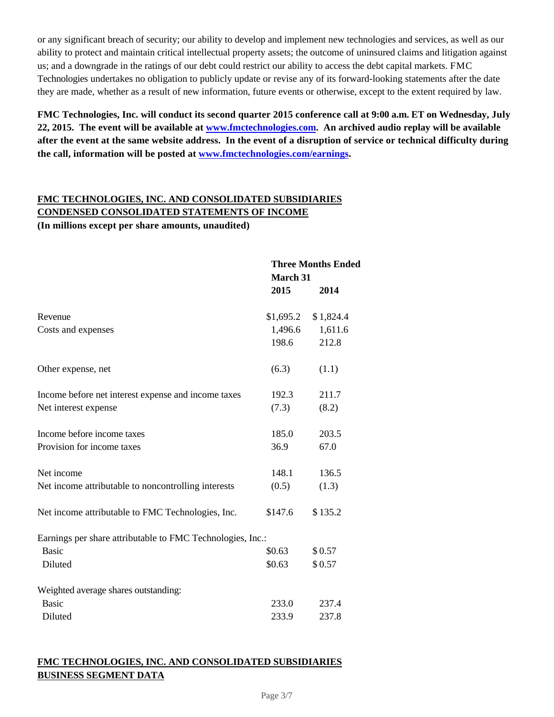or any significant breach of security; our ability to develop and implement new technologies and services, as well as our ability to protect and maintain critical intellectual property assets; the outcome of uninsured claims and litigation against us; and a downgrade in the ratings of our debt could restrict our ability to access the debt capital markets. FMC Technologies undertakes no obligation to publicly update or revise any of its forward-looking statements after the date they are made, whether as a result of new information, future events or otherwise, except to the extent required by law.

**FMC Technologies, Inc. will conduct its second quarter 2015 conference call at 9:00 a.m. ET on Wednesday, July 22, 2015. The event will be available at www.fmctechnologies.com. An archived audio replay will be available after the event at the same website address. In the event of a disruption of service or technical difficulty during the call, information will be posted at www.fmctechnologies.com/earnings.**

# **FMC TECHNOLOGIES, INC. AND CONSOLIDATED SUBSIDIARIES CONDENSED CONSOLIDATED STATEMENTS OF INCOME**

**(In millions except per share amounts, unaudited)**

|                                                            | <b>Three Months Ended</b> |           |
|------------------------------------------------------------|---------------------------|-----------|
|                                                            | <b>March 31</b>           |           |
|                                                            | 2015                      | 2014      |
| Revenue                                                    | \$1,695.2                 | \$1,824.4 |
| Costs and expenses                                         | 1,496.6                   | 1,611.6   |
|                                                            | 198.6                     | 212.8     |
| Other expense, net                                         | (6.3)                     | (1.1)     |
| Income before net interest expense and income taxes        | 192.3                     | 211.7     |
| Net interest expense                                       | (7.3)                     | (8.2)     |
| Income before income taxes                                 | 185.0                     | 203.5     |
| Provision for income taxes                                 | 36.9                      | 67.0      |
| Net income                                                 | 148.1                     | 136.5     |
| Net income attributable to noncontrolling interests        | (0.5)                     | (1.3)     |
| Net income attributable to FMC Technologies, Inc.          | \$147.6                   | \$135.2   |
| Earnings per share attributable to FMC Technologies, Inc.: |                           |           |
| <b>Basic</b>                                               | \$0.63                    | \$0.57    |
| Diluted                                                    | \$0.63                    | \$0.57    |
| Weighted average shares outstanding:                       |                           |           |
| <b>Basic</b>                                               | 233.0                     | 237.4     |
| Diluted                                                    | 233.9                     | 237.8     |

# **FMC TECHNOLOGIES, INC. AND CONSOLIDATED SUBSIDIARIES BUSINESS SEGMENT DATA**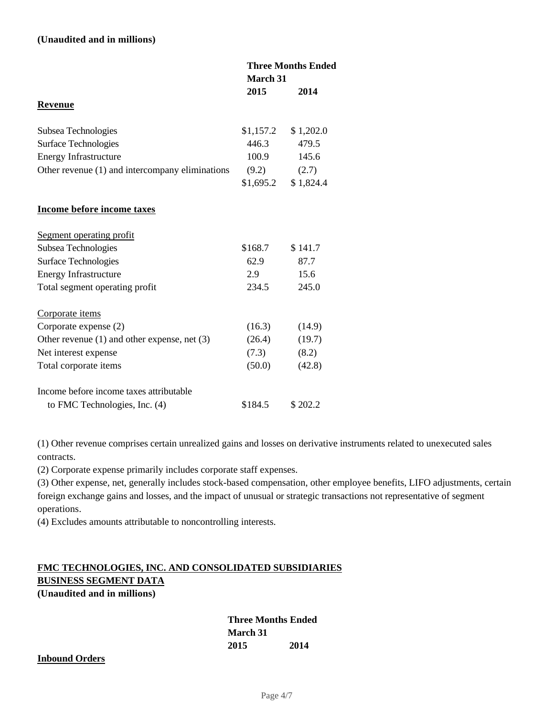### **(Unaudited and in millions)**

|                                                  | <b>Three Months Ended</b><br><b>March 31</b> |           |
|--------------------------------------------------|----------------------------------------------|-----------|
|                                                  | 2015                                         | 2014      |
| Revenue                                          |                                              |           |
| Subsea Technologies                              | \$1,157.2                                    | \$1,202.0 |
| Surface Technologies                             | 446.3                                        | 479.5     |
| Energy Infrastructure                            | 100.9                                        | 145.6     |
| Other revenue (1) and intercompany eliminations  | (9.2)                                        | (2.7)     |
|                                                  | \$1,695.2                                    | \$1,824.4 |
| Income before income taxes                       |                                              |           |
| Segment operating profit                         |                                              |           |
| Subsea Technologies                              | \$168.7                                      | \$141.7   |
| Surface Technologies                             | 62.9                                         | 87.7      |
| <b>Energy Infrastructure</b>                     | 2.9                                          | 15.6      |
| Total segment operating profit                   | 234.5                                        | 245.0     |
| Corporate items                                  |                                              |           |
| Corporate expense (2)                            | (16.3)                                       | (14.9)    |
| Other revenue $(1)$ and other expense, net $(3)$ | (26.4)                                       | (19.7)    |
| Net interest expense                             | (7.3)                                        | (8.2)     |
| Total corporate items                            | (50.0)                                       | (42.8)    |
| Income before income taxes attributable          |                                              |           |
| to FMC Technologies, Inc. (4)                    | \$184.5                                      | \$202.2   |

(1) Other revenue comprises certain unrealized gains and losses on derivative instruments related to unexecuted sales contracts.

(2) Corporate expense primarily includes corporate staff expenses.

(3) Other expense, net, generally includes stock-based compensation, other employee benefits, LIFO adjustments, certain foreign exchange gains and losses, and the impact of unusual or strategic transactions not representative of segment operations.

(4) Excludes amounts attributable to noncontrolling interests.

# **FMC TECHNOLOGIES, INC. AND CONSOLIDATED SUBSIDIARIES BUSINESS SEGMENT DATA**

**(Unaudited and in millions)**

## **Three Months Ended March 31 2015 2014**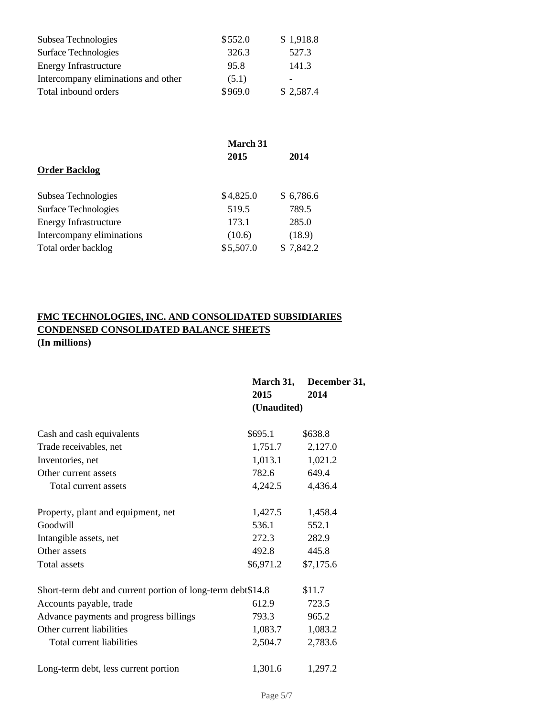| Subsea Technologies                 | \$552.0 | \$1,918.8                |
|-------------------------------------|---------|--------------------------|
| Surface Technologies                | 326.3   | 527.3                    |
| <b>Energy Infrastructure</b>        | 95.8    | 141.3                    |
| Intercompany eliminations and other | (5.1)   | $\overline{\phantom{0}}$ |
| Total inbound orders                | \$969.0 | \$2,587.4                |

|                              | <b>March 31</b> |           |
|------------------------------|-----------------|-----------|
|                              | 2015            | 2014      |
| <b>Order Backlog</b>         |                 |           |
| Subsea Technologies          | \$4,825.0       | \$6,786.6 |
| Surface Technologies         | 519.5           | 789.5     |
| <b>Energy Infrastructure</b> | 173.1           | 285.0     |
| Intercompany eliminations    | (10.6)          | (18.9)    |
| Total order backlog          | \$5,507.0       | \$7,842.2 |

# **FMC TECHNOLOGIES, INC. AND CONSOLIDATED SUBSIDIARIES CONDENSED CONSOLIDATED BALANCE SHEETS (In millions)**

|                                                             | March 31,<br>2015 | December 31,<br>2014 |
|-------------------------------------------------------------|-------------------|----------------------|
|                                                             | (Unaudited)       |                      |
| Cash and cash equivalents                                   | \$695.1           | \$638.8              |
| Trade receivables, net                                      | 1,751.7           | 2,127.0              |
| Inventories, net                                            | 1,013.1           | 1,021.2              |
| Other current assets                                        | 782.6             | 649.4                |
| Total current assets                                        | 4,242.5           | 4,436.4              |
| Property, plant and equipment, net                          | 1,427.5           | 1,458.4              |
| Goodwill                                                    | 536.1             | 552.1                |
| Intangible assets, net                                      | 272.3             | 282.9                |
| Other assets                                                | 492.8             | 445.8                |
| Total assets                                                | \$6,971.2         | \$7,175.6            |
| Short-term debt and current portion of long-term debt\$14.8 |                   | \$11.7               |
| Accounts payable, trade                                     | 612.9             | 723.5                |
| Advance payments and progress billings                      | 793.3             | 965.2                |
| Other current liabilities                                   | 1,083.7           | 1,083.2              |
| Total current liabilities                                   | 2,504.7           | 2,783.6              |
| Long-term debt, less current portion                        | 1,301.6           | 1,297.2              |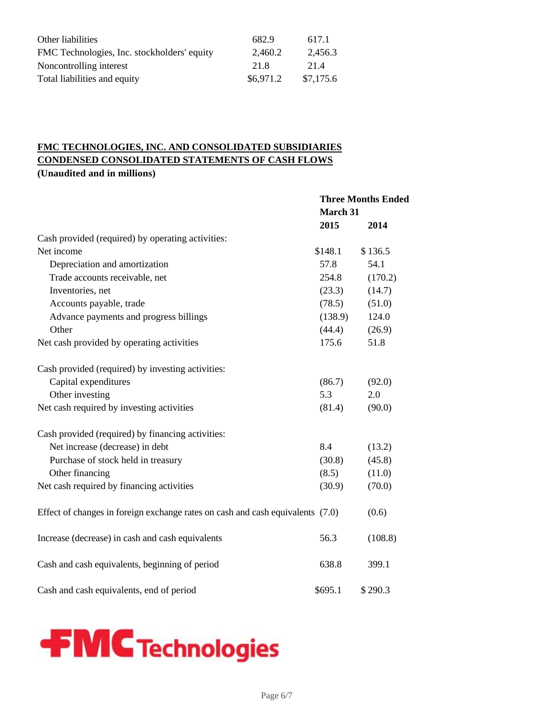| Other liabilities                           | 682.9     | 617.1     |
|---------------------------------------------|-----------|-----------|
| FMC Technologies, Inc. stockholders' equity | 2.460.2   | 2.456.3   |
| Noncontrolling interest                     | 21.8      | 214       |
| Total liabilities and equity                | \$6,971.2 | \$7,175.6 |

# **FMC TECHNOLOGIES, INC. AND CONSOLIDATED SUBSIDIARIES CONDENSED CONSOLIDATED STATEMENTS OF CASH FLOWS (Unaudited and in millions)**

|                                                                                | <b>Three Months Ended</b> |         |
|--------------------------------------------------------------------------------|---------------------------|---------|
|                                                                                | March 31                  |         |
|                                                                                | 2015                      | 2014    |
| Cash provided (required) by operating activities:                              |                           |         |
| Net income                                                                     | \$148.1                   | \$136.5 |
| Depreciation and amortization                                                  | 57.8                      | 54.1    |
| Trade accounts receivable, net                                                 | 254.8                     | (170.2) |
| Inventories, net                                                               | (23.3)                    | (14.7)  |
| Accounts payable, trade                                                        | (78.5)                    | (51.0)  |
| Advance payments and progress billings                                         | (138.9)                   | 124.0   |
| Other                                                                          | (44.4)                    | (26.9)  |
| Net cash provided by operating activities                                      | 175.6                     | 51.8    |
| Cash provided (required) by investing activities:                              |                           |         |
| Capital expenditures                                                           | (86.7)                    | (92.0)  |
| Other investing                                                                | 5.3                       | 2.0     |
| Net cash required by investing activities                                      | (81.4)                    | (90.0)  |
| Cash provided (required) by financing activities:                              |                           |         |
| Net increase (decrease) in debt                                                | 8.4                       | (13.2)  |
| Purchase of stock held in treasury                                             | (30.8)                    | (45.8)  |
| Other financing                                                                | (8.5)                     | (11.0)  |
| Net cash required by financing activities                                      | (30.9)                    | (70.0)  |
| Effect of changes in foreign exchange rates on cash and cash equivalents (7.0) |                           | (0.6)   |
| Increase (decrease) in cash and cash equivalents                               | 56.3                      | (108.8) |
| Cash and cash equivalents, beginning of period                                 | 638.8                     | 399.1   |
| Cash and cash equivalents, end of period                                       | \$695.1                   | \$290.3 |